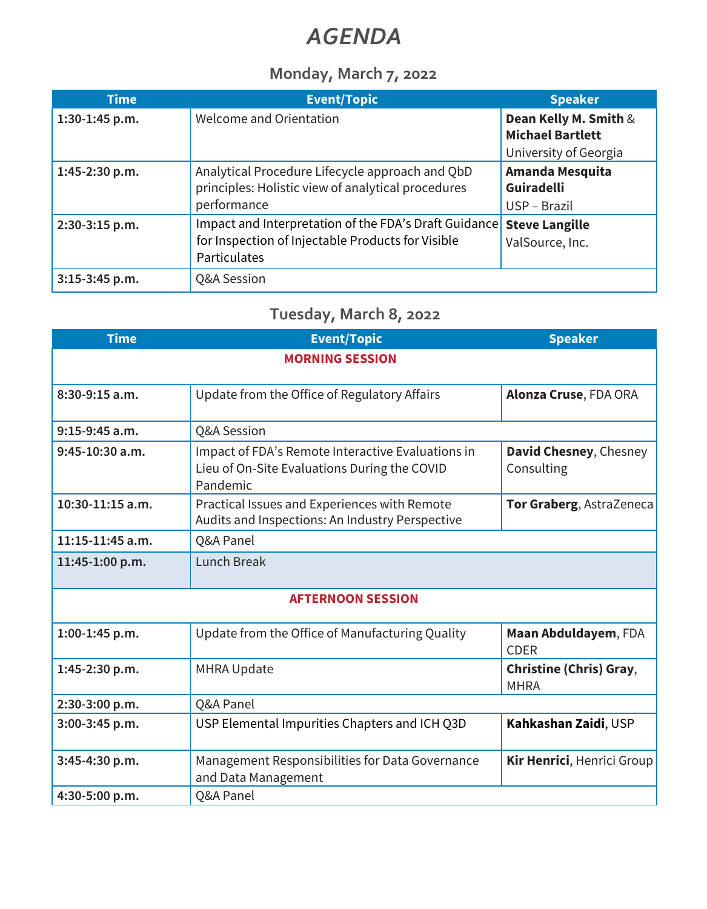# *AGENDA*

### **Monday, March 7, 2022**

| <b>Time</b>      | <b>Event/Topic</b>                                                                                                         | <b>Speaker</b>                                                            |
|------------------|----------------------------------------------------------------------------------------------------------------------------|---------------------------------------------------------------------------|
| $1:30-1:45$ p.m. | Welcome and Orientation                                                                                                    | Dean Kelly M. Smith &<br><b>Michael Bartlett</b><br>University of Georgia |
| 1:45-2:30 p.m.   | Analytical Procedure Lifecycle approach and QbD<br>principles: Holistic view of analytical procedures<br>performance       | Amanda Mesquita<br><b>Guiradelli</b><br>USP - Brazil                      |
| 2:30-3:15 p.m.   | Impact and Interpretation of the FDA's Draft Guidance<br>for Inspection of Injectable Products for Visible<br>Particulates | <b>Steve Langille</b><br>ValSource, Inc.                                  |
| $3:15-3:45$ p.m. | Q&A Session                                                                                                                |                                                                           |

## **Tuesday, March 8, 2022**

| <b>Time</b>              | <b>Event/Topic</b>                                                                                            | <b>Speaker</b>                                |  |
|--------------------------|---------------------------------------------------------------------------------------------------------------|-----------------------------------------------|--|
|                          | <b>MORNING SESSION</b>                                                                                        |                                               |  |
| $8:30-9:15$ a.m.         | Update from the Office of Regulatory Affairs                                                                  | Alonza Cruse, FDA ORA                         |  |
| $9:15-9:45$ a.m.         | Q&A Session                                                                                                   |                                               |  |
| $9:45-10:30$ a.m.        | Impact of FDA's Remote Interactive Evaluations in<br>Lieu of On-Site Evaluations During the COVID<br>Pandemic | David Chesney, Chesney<br>Consulting          |  |
| 10:30-11:15 a.m.         | Practical Issues and Experiences with Remote<br>Audits and Inspections: An Industry Perspective               | Tor Graberg, AstraZeneca                      |  |
| $11:15-11:45$ a.m.       | Q&A Panel                                                                                                     |                                               |  |
| 11:45-1:00 p.m.          | <b>Lunch Break</b>                                                                                            |                                               |  |
| <b>AFTERNOON SESSION</b> |                                                                                                               |                                               |  |
| 1:00-1:45 p.m.           | Update from the Office of Manufacturing Quality                                                               | Maan Abduldayem, FDA<br><b>CDER</b>           |  |
| 1:45-2:30 p.m.           | <b>MHRA Update</b>                                                                                            | <b>Christine (Chris) Gray,</b><br><b>MHRA</b> |  |
| 2:30-3:00 p.m.           | Q&A Panel                                                                                                     |                                               |  |
| 3:00-3:45 p.m.           | USP Elemental Impurities Chapters and ICH Q3D                                                                 | Kahkashan Zaidi, USP                          |  |
| 3:45-4:30 p.m.           | Management Responsibilities for Data Governance<br>and Data Management                                        | Kir Henrici, Henrici Group                    |  |
| 4:30-5:00 p.m.           | Q&A Panel                                                                                                     |                                               |  |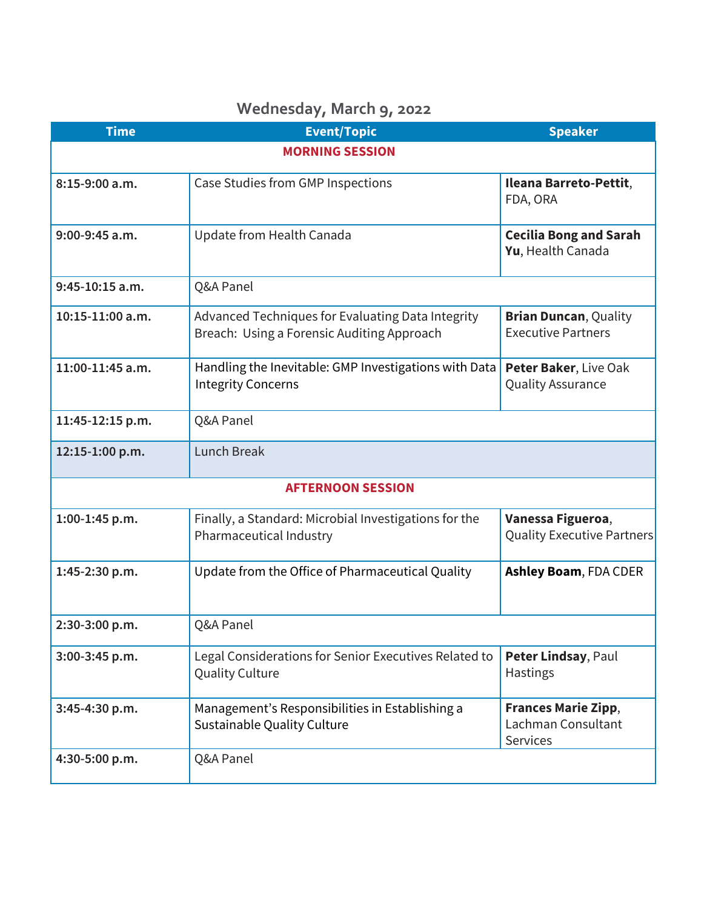### **Time Event/Topic Speaker MORNING SESSION 8:15-9:00 a.m.** Case Studies from GMP Inspections **Ileana Barreto-Pettit**, FDA, ORA **9:00-9:45 a.m.** Update from Health Canada **Cecilia Bong and Sarah Yu**, Health Canada **9:45-10:15 a.m.** Q&A Panel **10:15-11:00 a.m.** Advanced Techniques for Evaluating Data Integrity Breach: Using a Forensic Auditing Approach **Brian Duncan**, Quality Executive Partners **11:00-11:45 a.m.** Handling the Inevitable: GMP Investigations with Data Integrity Concerns **Peter Baker**, Live Oak Quality Assurance **11:45-12:15 p.m.** Q&A Panel **12:15-1:00 p.m.** Lunch Break  **AFTERNOON SESSION 1:00-1:45 p.m.** Finally, a Standard: Microbial Investigations for the Pharmaceutical Industry **Vanessa Figueroa**, Quality Executive Partners **1:45-2:30 p.m.** Update from the Office of Pharmaceutical Quality **Ashley Boam**, FDA CDER **2:30-3:00 p.m.** Q&A Panel **3:00-3:45 p.m.** Legal Considerations for Senior Executives Related to Quality Culture **Peter Lindsay**, Paul Hastings **3:45-4:30 p.m.** Management's Responsibilities in Establishing a Sustainable Quality Culture **Frances Marie Zipp**, Lachman Consultant **Services 4:30-5:00 p.m.** Q&A Panel

#### **Wednesday, March 9, 2022**